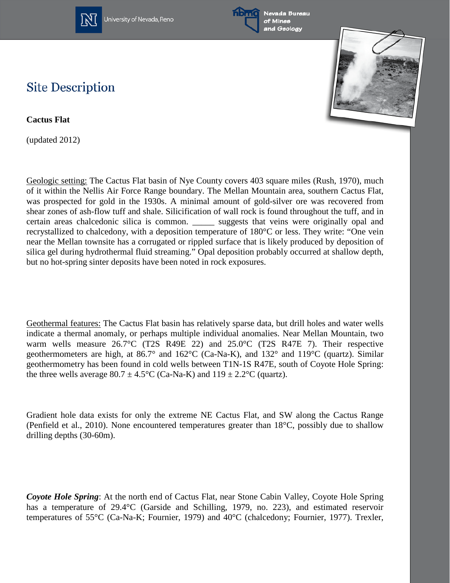

University of Nevada, Reno





## **Site Description**

**Cactus Flat**

(updated 2012)

Geologic setting: The Cactus Flat basin of Nye County covers 403 square miles (Rush, 1970), much of it within the Nellis Air Force Range boundary. The Mellan Mountain area, southern Cactus Flat, was prospected for gold in the 1930s. A minimal amount of gold-silver ore was recovered from shear zones of ash-flow tuff and shale. Silicification of wall rock is found throughout the tuff, and in certain areas chalcedonic silica is common. \_\_\_\_\_ suggests that veins were originally opal and recrystallized to chalcedony, with a deposition temperature of 180°C or less. They write: "One vein near the Mellan townsite has a corrugated or rippled surface that is likely produced by deposition of silica gel during hydrothermal fluid streaming." Opal deposition probably occurred at shallow depth, but no hot-spring sinter deposits have been noted in rock exposures.

Geothermal features: The Cactus Flat basin has relatively sparse data, but drill holes and water wells indicate a thermal anomaly, or perhaps multiple individual anomalies. Near Mellan Mountain, two warm wells measure 26.7°C (T2S R49E 22) and 25.0°C (T2S R47E 7). Their respective geothermometers are high, at 86.7° and 162°C (Ca-Na-K), and 132° and 119°C (quartz). Similar geothermometry has been found in cold wells between T1N-1S R47E, south of Coyote Hole Spring: the three wells average  $80.7 \pm 4.5^{\circ}$ C (Ca-Na-K) and  $119 \pm 2.2^{\circ}$ C (quartz).

Gradient hole data exists for only the extreme NE Cactus Flat, and SW along the Cactus Range (Penfield et al., 2010). None encountered temperatures greater than 18°C, possibly due to shallow drilling depths (30-60m).

*Coyote Hole Spring*: At the north end of Cactus Flat, near Stone Cabin Valley, Coyote Hole Spring has a temperature of 29.4°C (Garside and Schilling, 1979, no. 223), and estimated reservoir temperatures of 55°C (Ca-Na-K; Fournier, 1979) and 40°C (chalcedony; Fournier, 1977). Trexler,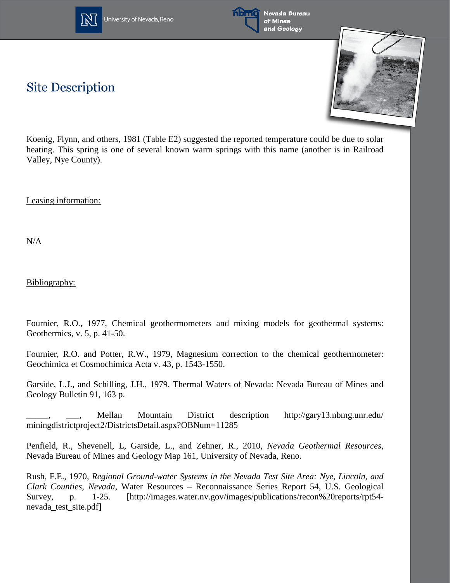



Nevada Bureau of Mines and Geology

## **Site Description**



Koenig, Flynn, and others, 1981 (Table E2) suggested the reported temperature could be due to solar heating. This spring is one of several known warm springs with this name (another is in Railroad Valley, Nye County).

Leasing information:

N/A

Bibliography:

Fournier, R.O., 1977, Chemical geothermometers and mixing models for geothermal systems: Geothermics, v. 5, p. 41-50.

Fournier, R.O. and Potter, R.W., 1979, Magnesium correction to the chemical geothermometer: Geochimica et Cosmochimica Acta v. 43, p. 1543-1550.

Garside, L.J., and Schilling, J.H., 1979, Thermal Waters of Nevada: Nevada Bureau of Mines and Geology Bulletin 91, 163 p.

Mellan Mountain District description http://gary13.nbmg.unr.edu/ miningdistrictproject2/DistrictsDetail.aspx?OBNum=11285

Penfield, R., Shevenell, L, Garside, L., and Zehner, R., 2010, *Nevada Geothermal Resources*, Nevada Bureau of Mines and Geology Map 161, University of Nevada, Reno.

Rush, F.E., 1970, *Regional Ground-water Systems in the Nevada Test Site Area: Nye, Lincoln, and Clark Counties, Nevada*, Water Resources – Reconnaissance Series Report 54, U.S. Geological Survey, p. 1-25. [http://images.water.nv.gov/images/publications/recon%20reports/rpt54 nevada\_test\_site.pdf]